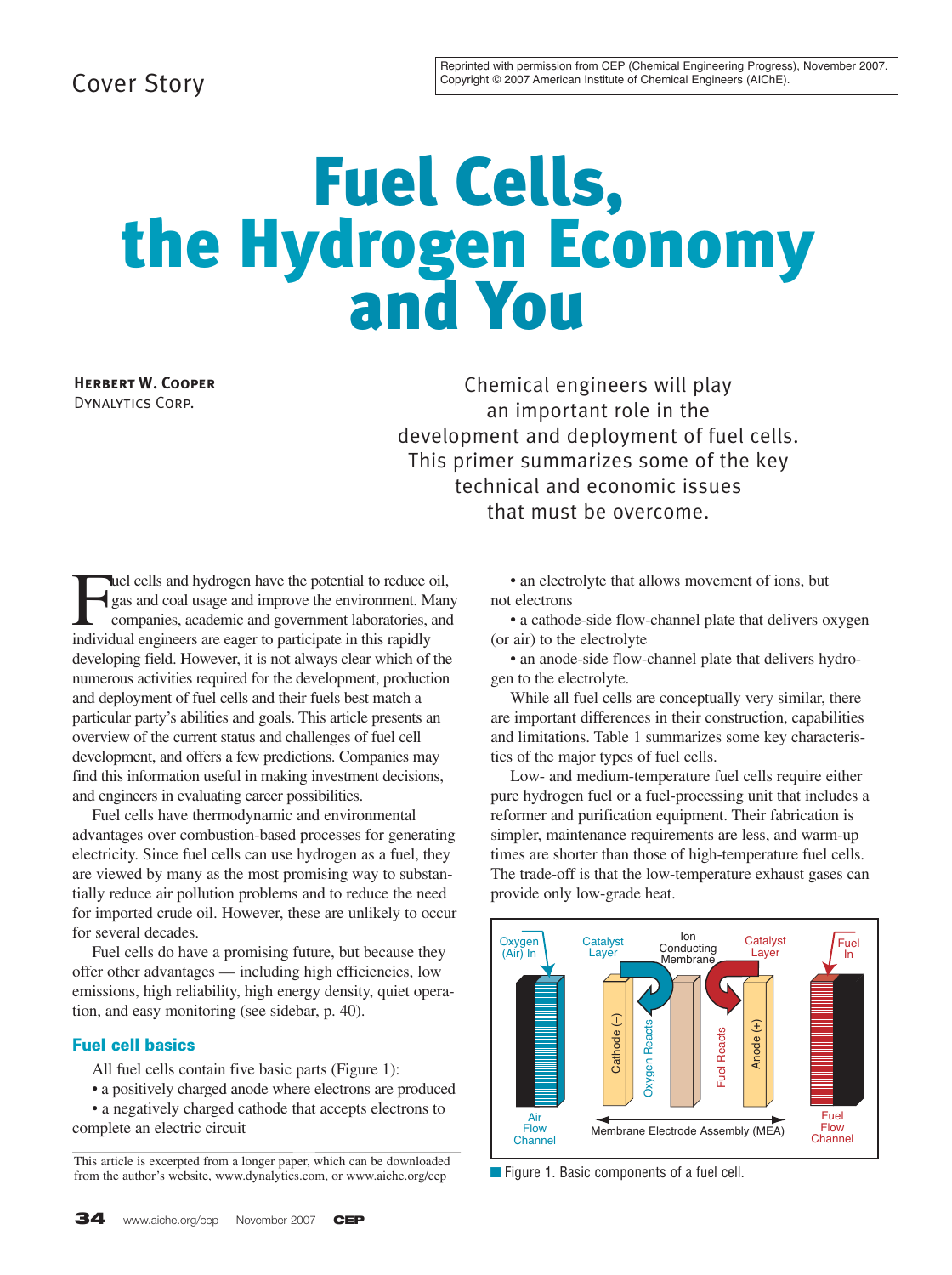## Cover Story

# Fuel Cells, the Hydrogen Economy and You

**Herbert W. Cooper** Dynalytics Corp.

Chemical engineers will play an important role in the development and deployment of fuel cells. This primer summarizes some of the key technical and economic issues that must be overcome.

**Fuel cells and hydrogen have the potential to reduce oil,**<br>gas and coal usage and improve the environment. Man<br>companies, academic and government laboratories, and<br>individual engineers are eager to participate in this rap gas and coal usage and improve the environment. Many companies, academic and government laboratories, and individual engineers are eager to participate in this rapidly developing field. However, it is not always clear which of the numerous activities required for the development, production and deployment of fuel cells and their fuels best match a particular party's abilities and goals. This article presents an overview of the current status and challenges of fuel cell development, and offers a few predictions. Companies may find this information useful in making investment decisions, and engineers in evaluating career possibilities.

Fuel cells have thermodynamic and environmental advantages over combustion-based processes for generating electricity. Since fuel cells can use hydrogen as a fuel, they are viewed by many as the most promising way to substantially reduce air pollution problems and to reduce the need for imported crude oil. However, these are unlikely to occur for several decades.

Fuel cells do have a promising future, but because they offer other advantages — including high efficiencies, low emissions, high reliability, high energy density, quiet operation, and easy monitoring (see sidebar, p. 40).

#### **Fuel cell basics**

All fuel cells contain five basic parts (Figure 1):

- a positively charged anode where electrons are produced
- a negatively charged cathode that accepts electrons to complete an electric circuit

This article is excerpted from a longer paper, which can be downloaded from the author's website, www.dynalytics.com, or www.aiche.org/cep ■ Figure 1. Basic components of a fuel cell.

• an electrolyte that allows movement of ions, but not electrons

• a cathode-side flow-channel plate that delivers oxygen (or air) to the electrolyte

• an anode-side flow-channel plate that delivers hydrogen to the electrolyte.

While all fuel cells are conceptually very similar, there are important differences in their construction, capabilities and limitations. Table 1 summarizes some key characteristics of the major types of fuel cells.

Low- and medium-temperature fuel cells require either pure hydrogen fuel or a fuel-processing unit that includes a reformer and purification equipment. Their fabrication is simpler, maintenance requirements are less, and warm-up times are shorter than those of high-temperature fuel cells. The trade-off is that the low-temperature exhaust gases can provide only low-grade heat.

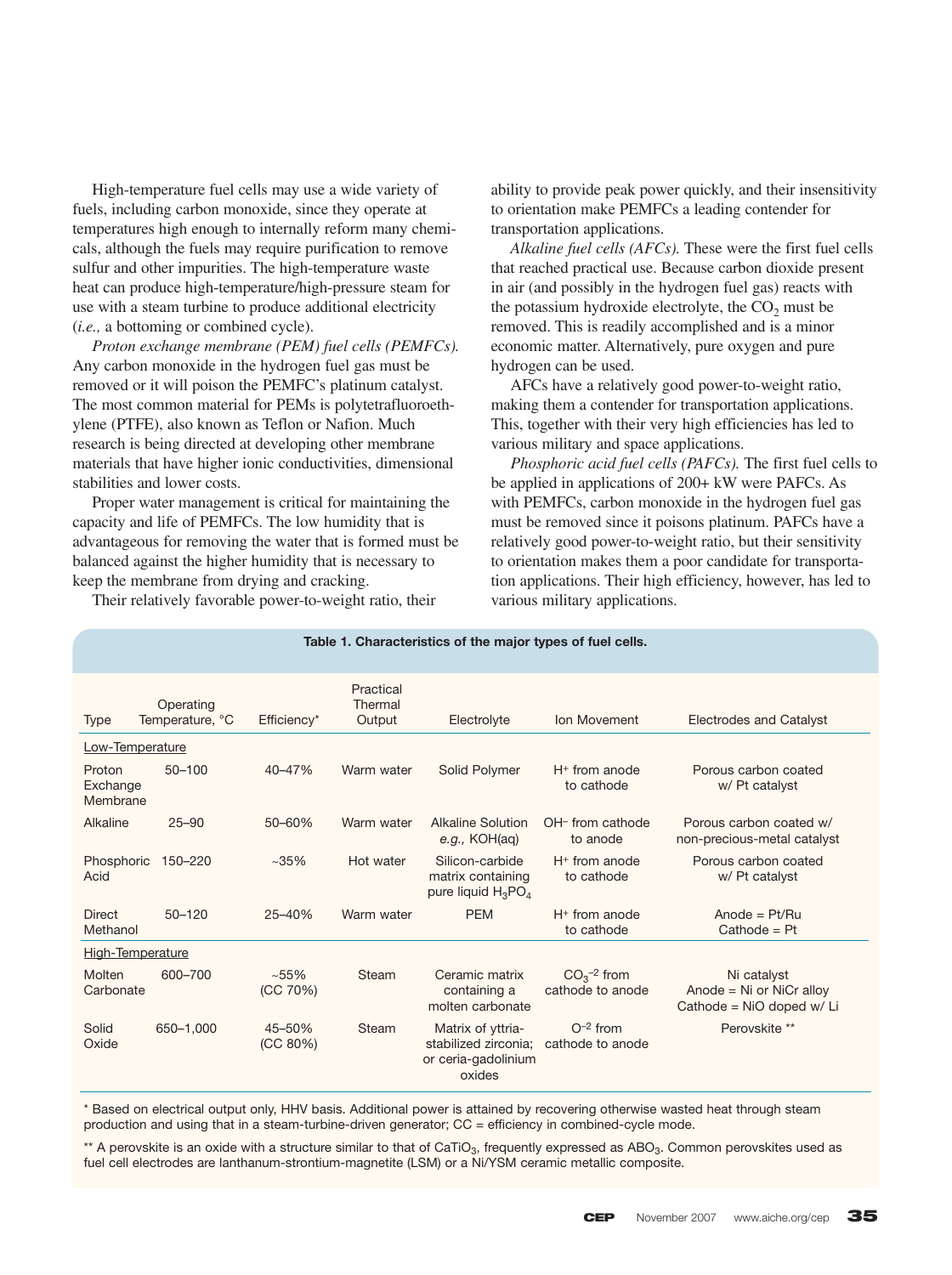High-temperature fuel cells may use a wide variety of fuels, including carbon monoxide, since they operate at temperatures high enough to internally reform many chemicals, although the fuels may require purification to remove sulfur and other impurities. The high-temperature waste heat can produce high-temperature/high-pressure steam for use with a steam turbine to produce additional electricity (*i.e.,* a bottoming or combined cycle).

*Proton exchange membrane (PEM) fuel cells (PEMFCs).* Any carbon monoxide in the hydrogen fuel gas must be removed or it will poison the PEMFC's platinum catalyst. The most common material for PEMs is polytetrafluoroethylene (PTFE), also known as Teflon or Nafion. Much research is being directed at developing other membrane materials that have higher ionic conductivities, dimensional stabilities and lower costs.

Proper water management is critical for maintaining the capacity and life of PEMFCs. The low humidity that is advantageous for removing the water that is formed must be balanced against the higher humidity that is necessary to keep the membrane from drying and cracking.

Their relatively favorable power-to-weight ratio, their

ability to provide peak power quickly, and their insensitivity to orientation make PEMFCs a leading contender for transportation applications.

*Alkaline fuel cells (AFCs).* These were the first fuel cells that reached practical use. Because carbon dioxide present in air (and possibly in the hydrogen fuel gas) reacts with the potassium hydroxide electrolyte, the  $CO<sub>2</sub>$  must be removed. This is readily accomplished and is a minor economic matter. Alternatively, pure oxygen and pure hydrogen can be used.

AFCs have a relatively good power-to-weight ratio, making them a contender for transportation applications. This, together with their very high efficiencies has led to various military and space applications.

*Phosphoric acid fuel cells (PAFCs).* The first fuel cells to be applied in applications of 200+ kW were PAFCs. As with PEMFCs, carbon monoxide in the hydrogen fuel gas must be removed since it poisons platinum. PAFCs have a relatively good power-to-weight ratio, but their sensitivity to orientation makes them a poor candidate for transportation applications. Their high efficiency, however, has led to various military applications.

| Table 1. Characteristics of the major types of fuel cells. |                              |                    |                                |                                                                            |                                              |                                                                           |
|------------------------------------------------------------|------------------------------|--------------------|--------------------------------|----------------------------------------------------------------------------|----------------------------------------------|---------------------------------------------------------------------------|
| <b>Type</b>                                                | Operating<br>Temperature, °C | Efficiency*        | Practical<br>Thermal<br>Output | Electrolyte                                                                | Ion Movement                                 | <b>Electrodes and Catalyst</b>                                            |
| Low-Temperature                                            |                              |                    |                                |                                                                            |                                              |                                                                           |
| Proton<br>Exchange<br>Membrane                             | $50 - 100$                   | 40-47%             | Warm water                     | Solid Polymer                                                              | $H+$ from anode<br>to cathode                | Porous carbon coated<br>w/ Pt catalyst                                    |
| Alkaline                                                   | $25 - 90$                    | 50-60%             | Warm water                     | <b>Alkaline Solution</b><br>e.g., KOH(aq)                                  | OH <sup>-</sup> from cathode<br>to anode     | Porous carbon coated w/<br>non-precious-metal catalyst                    |
| Phosphoric<br>Acid                                         | 150-220                      | $~1.35\%$          | Hot water                      | Silicon-carbide<br>matrix containing<br>pure liquid $H_3PO_4$              | $H+$ from anode<br>to cathode                | Porous carbon coated<br>w/ Pt catalyst                                    |
| <b>Direct</b><br>Methanol                                  | $50 - 120$                   | 25-40%             | Warm water                     | <b>PEM</b>                                                                 | $H+$ from anode<br>to cathode                | Anode = $Pt/Ru$<br>$Cathode = Pt$                                         |
| <b>High-Temperature</b>                                    |                              |                    |                                |                                                                            |                                              |                                                                           |
| Molten<br>Carbonate                                        | 600-700                      | ~155%<br>(CC 70%)  | Steam                          | Ceramic matrix<br>containing a<br>molten carbonate                         | $CO3$ <sup>-2</sup> from<br>cathode to anode | Ni catalyst<br>Anode = $Ni$ or $NiCr$ alloy<br>Cathode = $NiO$ doped w/Li |
| Solid<br>Oxide                                             | 650-1,000                    | 45-50%<br>(CC 80%) | Steam                          | Matrix of yttria-<br>stabilized zirconia;<br>or ceria-gadolinium<br>oxides | $O^{-2}$ from<br>cathode to anode            | Perovskite **                                                             |

\* Based on electrical output only, HHV basis. Additional power is attained by recovering otherwise wasted heat through steam production and using that in a steam-turbine-driven generator; CC = efficiency in combined-cycle mode.

\*\* A perovskite is an oxide with a structure similar to that of CaTiO<sub>3</sub>, frequently expressed as ABO<sub>3</sub>. Common perovskites used as fuel cell electrodes are lanthanum-strontium-magnetite (LSM) or a Ni/YSM ceramic metallic composite.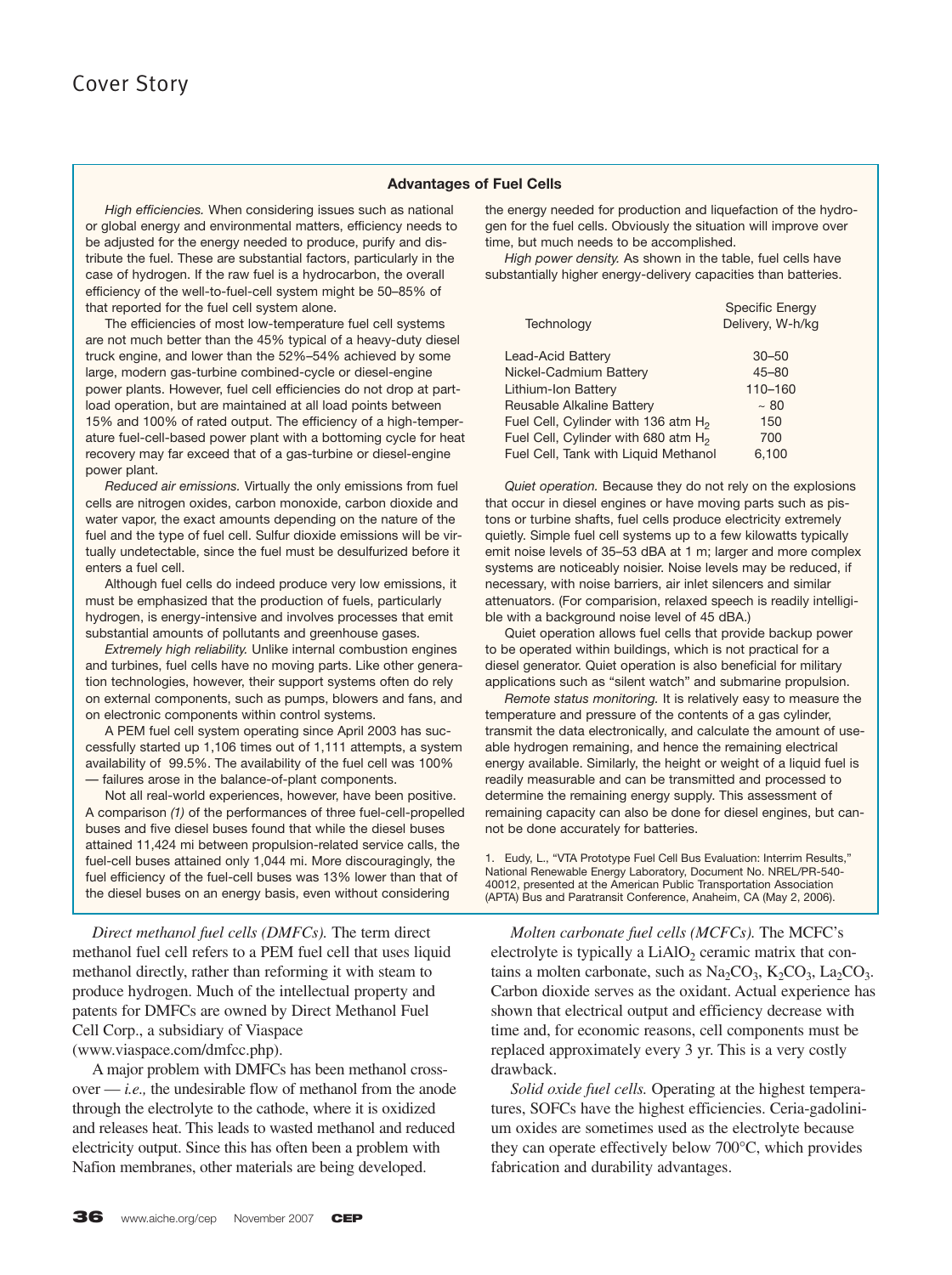#### **Advantages of Fuel Cells**

*High efficiencies.* When considering issues such as national or global energy and environmental matters, efficiency needs to be adjusted for the energy needed to produce, purify and distribute the fuel. These are substantial factors, particularly in the case of hydrogen. If the raw fuel is a hydrocarbon, the overall efficiency of the well-to-fuel-cell system might be 50–85% of that reported for the fuel cell system alone.

The efficiencies of most low-temperature fuel cell systems are not much better than the 45% typical of a heavy-duty diesel truck engine, and lower than the 52%–54% achieved by some large, modern gas-turbine combined-cycle or diesel-engine power plants. However, fuel cell efficiencies do not drop at partload operation, but are maintained at all load points between 15% and 100% of rated output. The efficiency of a high-temperature fuel-cell-based power plant with a bottoming cycle for heat recovery may far exceed that of a gas-turbine or diesel-engine power plant.

*Reduced air emissions.* Virtually the only emissions from fuel cells are nitrogen oxides, carbon monoxide, carbon dioxide and water vapor, the exact amounts depending on the nature of the fuel and the type of fuel cell. Sulfur dioxide emissions will be virtually undetectable, since the fuel must be desulfurized before it enters a fuel cell.

Although fuel cells do indeed produce very low emissions, it must be emphasized that the production of fuels, particularly hydrogen, is energy-intensive and involves processes that emit substantial amounts of pollutants and greenhouse gases.

*Extremely high reliability.* Unlike internal combustion engines and turbines, fuel cells have no moving parts. Like other generation technologies, however, their support systems often do rely on external components, such as pumps, blowers and fans, and on electronic components within control systems.

A PEM fuel cell system operating since April 2003 has successfully started up 1,106 times out of 1,111 attempts, a system availability of 99.5%. The availability of the fuel cell was 100% — failures arose in the balance-of-plant components.

Not all real-world experiences, however, have been positive. A comparison *(1)* of the performances of three fuel-cell-propelled buses and five diesel buses found that while the diesel buses attained 11,424 mi between propulsion-related service calls, the fuel-cell buses attained only 1,044 mi. More discouragingly, the fuel efficiency of the fuel-cell buses was 13% lower than that of the diesel buses on an energy basis, even without considering

*Direct methanol fuel cells (DMFCs).* The term direct methanol fuel cell refers to a PEM fuel cell that uses liquid methanol directly, rather than reforming it with steam to produce hydrogen. Much of the intellectual property and patents for DMFCs are owned by Direct Methanol Fuel Cell Corp., a subsidiary of Viaspace (www.viaspace.com/dmfcc.php).

A major problem with DMFCs has been methanol crossover — *i.e.,* the undesirable flow of methanol from the anode through the electrolyte to the cathode, where it is oxidized and releases heat. This leads to wasted methanol and reduced electricity output. Since this has often been a problem with Nafion membranes, other materials are being developed.

the energy needed for production and liquefaction of the hydrogen for the fuel cells. Obviously the situation will improve over time, but much needs to be accomplished.

*High power density.* As shown in the table, fuel cells have substantially higher energy-delivery capacities than batteries.

| Technology                                      | <b>Specific Energy</b><br>Delivery, W-h/kg |
|-------------------------------------------------|--------------------------------------------|
| Lead-Acid Battery                               | $30 - 50$                                  |
| Nickel-Cadmium Battery                          | $45 - 80$                                  |
| Lithium-Ion Battery                             | 110-160                                    |
| Reusable Alkaline Battery                       | ~100                                       |
| Fuel Cell, Cylinder with 136 atm H <sub>2</sub> | 150                                        |
| Fuel Cell, Cylinder with 680 atm H <sub>2</sub> | 700                                        |
| Fuel Cell, Tank with Liquid Methanol            | 6.100                                      |

*Quiet operation.* Because they do not rely on the explosions that occur in diesel engines or have moving parts such as pistons or turbine shafts, fuel cells produce electricity extremely quietly. Simple fuel cell systems up to a few kilowatts typically emit noise levels of 35–53 dBA at 1 m; larger and more complex systems are noticeably noisier. Noise levels may be reduced, if necessary, with noise barriers, air inlet silencers and similar attenuators. (For comparision, relaxed speech is readily intelligible with a background noise level of 45 dBA.)

Quiet operation allows fuel cells that provide backup power to be operated within buildings, which is not practical for a diesel generator. Quiet operation is also beneficial for military applications such as "silent watch" and submarine propulsion.

*Remote status monitoring.* It is relatively easy to measure the temperature and pressure of the contents of a gas cylinder, transmit the data electronically, and calculate the amount of useable hydrogen remaining, and hence the remaining electrical energy available. Similarly, the height or weight of a liquid fuel is readily measurable and can be transmitted and processed to determine the remaining energy supply. This assessment of remaining capacity can also be done for diesel engines, but cannot be done accurately for batteries.

1. Eudy, L., "VTA Prototype Fuel Cell Bus Evaluation: Interrim Results," National Renewable Energy Laboratory, Document No. NREL/PR-540- 40012, presented at the American Public Transportation Association (APTA) Bus and Paratransit Conference, Anaheim, CA (May 2, 2006).

*Molten carbonate fuel cells (MCFCs).* The MCFC's electrolyte is typically a  $LiAlO<sub>2</sub>$  ceramic matrix that contains a molten carbonate, such as  $Na_2CO_3$ ,  $K_2CO_3$ , La<sub>2</sub>CO<sub>3</sub>. Carbon dioxide serves as the oxidant. Actual experience has shown that electrical output and efficiency decrease with time and, for economic reasons, cell components must be replaced approximately every 3 yr. This is a very costly drawback.

*Solid oxide fuel cells.* Operating at the highest temperatures, SOFCs have the highest efficiencies. Ceria-gadolinium oxides are sometimes used as the electrolyte because they can operate effectively below 700°C, which provides fabrication and durability advantages.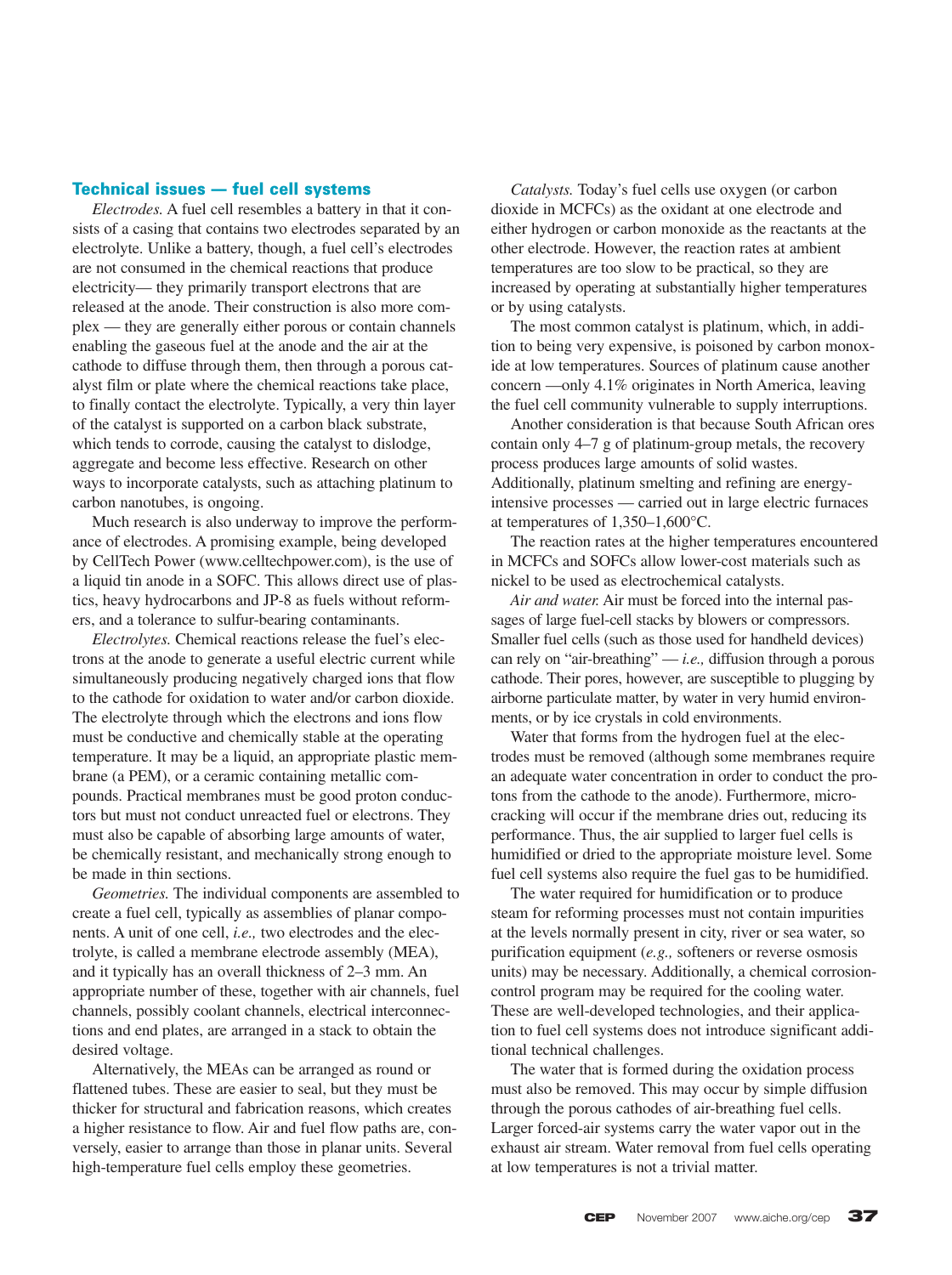#### **Technical issues — fuel cell systems**

*Electrodes.* A fuel cell resembles a battery in that it consists of a casing that contains two electrodes separated by an electrolyte. Unlike a battery, though, a fuel cell's electrodes are not consumed in the chemical reactions that produce electricity— they primarily transport electrons that are released at the anode. Their construction is also more complex — they are generally either porous or contain channels enabling the gaseous fuel at the anode and the air at the cathode to diffuse through them, then through a porous catalyst film or plate where the chemical reactions take place, to finally contact the electrolyte. Typically, a very thin layer of the catalyst is supported on a carbon black substrate, which tends to corrode, causing the catalyst to dislodge, aggregate and become less effective. Research on other ways to incorporate catalysts, such as attaching platinum to carbon nanotubes, is ongoing.

Much research is also underway to improve the performance of electrodes. A promising example, being developed by CellTech Power (www.celltechpower.com), is the use of a liquid tin anode in a SOFC. This allows direct use of plastics, heavy hydrocarbons and JP-8 as fuels without reformers, and a tolerance to sulfur-bearing contaminants.

*Electrolytes.* Chemical reactions release the fuel's electrons at the anode to generate a useful electric current while simultaneously producing negatively charged ions that flow to the cathode for oxidation to water and/or carbon dioxide. The electrolyte through which the electrons and ions flow must be conductive and chemically stable at the operating temperature. It may be a liquid, an appropriate plastic membrane (a PEM), or a ceramic containing metallic compounds. Practical membranes must be good proton conductors but must not conduct unreacted fuel or electrons. They must also be capable of absorbing large amounts of water, be chemically resistant, and mechanically strong enough to be made in thin sections.

*Geometries.* The individual components are assembled to create a fuel cell, typically as assemblies of planar components. A unit of one cell, *i.e.,* two electrodes and the electrolyte, is called a membrane electrode assembly (MEA), and it typically has an overall thickness of 2–3 mm. An appropriate number of these, together with air channels, fuel channels, possibly coolant channels, electrical interconnections and end plates, are arranged in a stack to obtain the desired voltage.

Alternatively, the MEAs can be arranged as round or flattened tubes. These are easier to seal, but they must be thicker for structural and fabrication reasons, which creates a higher resistance to flow. Air and fuel flow paths are, conversely, easier to arrange than those in planar units. Several high-temperature fuel cells employ these geometries.

*Catalysts.* Today's fuel cells use oxygen (or carbon dioxide in MCFCs) as the oxidant at one electrode and either hydrogen or carbon monoxide as the reactants at the other electrode. However, the reaction rates at ambient temperatures are too slow to be practical, so they are increased by operating at substantially higher temperatures or by using catalysts.

The most common catalyst is platinum, which, in addition to being very expensive, is poisoned by carbon monoxide at low temperatures. Sources of platinum cause another concern —only 4.1% originates in North America, leaving the fuel cell community vulnerable to supply interruptions.

Another consideration is that because South African ores contain only 4–7 g of platinum-group metals, the recovery process produces large amounts of solid wastes. Additionally, platinum smelting and refining are energyintensive processes — carried out in large electric furnaces at temperatures of 1,350–1,600°C.

The reaction rates at the higher temperatures encountered in MCFCs and SOFCs allow lower-cost materials such as nickel to be used as electrochemical catalysts.

*Air and water.* Air must be forced into the internal passages of large fuel-cell stacks by blowers or compressors. Smaller fuel cells (such as those used for handheld devices) can rely on "air-breathing" — *i.e.,* diffusion through a porous cathode. Their pores, however, are susceptible to plugging by airborne particulate matter, by water in very humid environments, or by ice crystals in cold environments.

Water that forms from the hydrogen fuel at the electrodes must be removed (although some membranes require an adequate water concentration in order to conduct the protons from the cathode to the anode). Furthermore, microcracking will occur if the membrane dries out, reducing its performance. Thus, the air supplied to larger fuel cells is humidified or dried to the appropriate moisture level. Some fuel cell systems also require the fuel gas to be humidified.

The water required for humidification or to produce steam for reforming processes must not contain impurities at the levels normally present in city, river or sea water, so purification equipment (*e.g.,* softeners or reverse osmosis units) may be necessary. Additionally, a chemical corrosioncontrol program may be required for the cooling water. These are well-developed technologies, and their application to fuel cell systems does not introduce significant additional technical challenges.

The water that is formed during the oxidation process must also be removed. This may occur by simple diffusion through the porous cathodes of air-breathing fuel cells. Larger forced-air systems carry the water vapor out in the exhaust air stream. Water removal from fuel cells operating at low temperatures is not a trivial matter.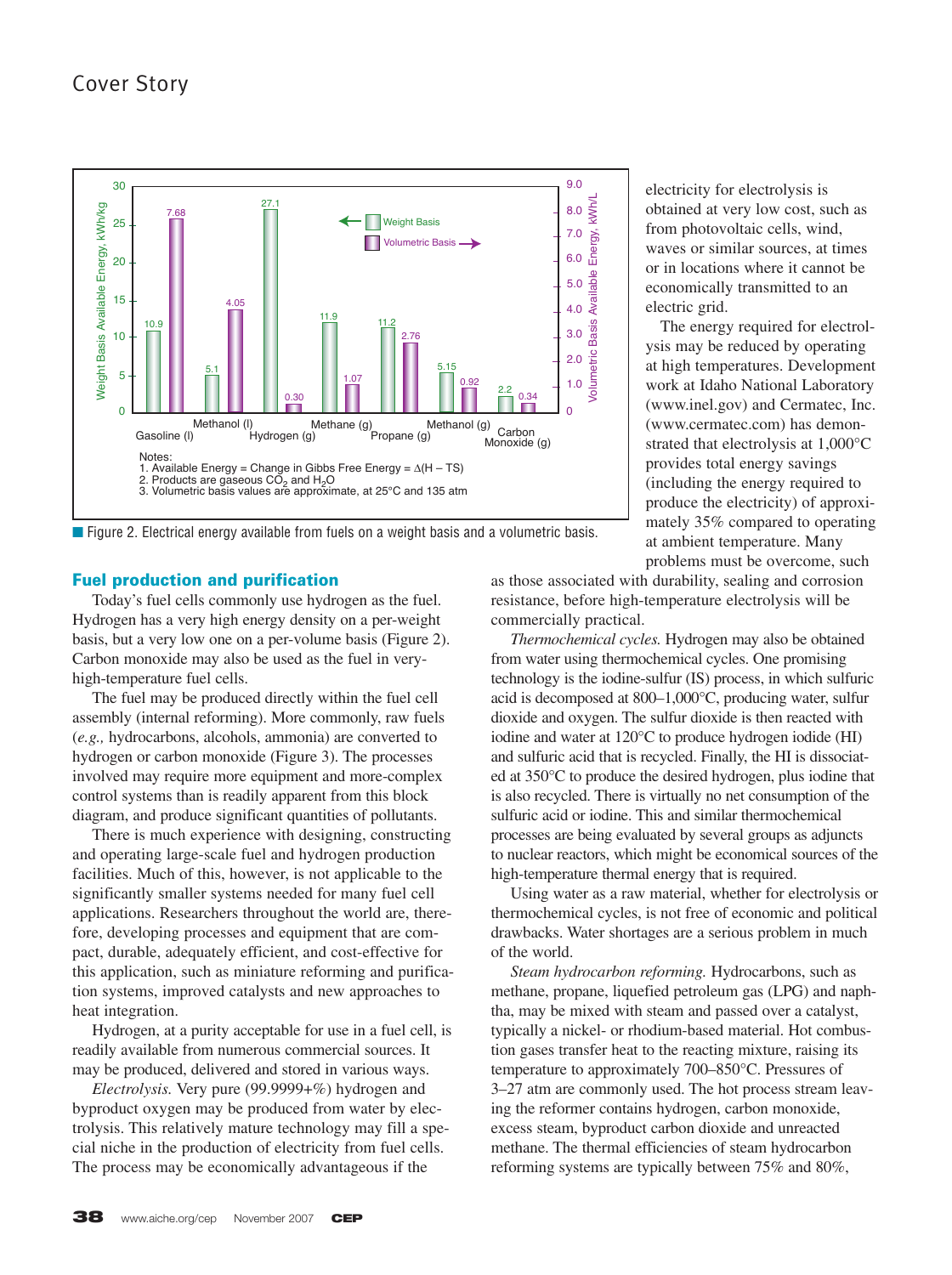

■ Figure 2. Electrical energy available from fuels on a weight basis and a volumetric basis.

#### **Fuel production and purification**

Today's fuel cells commonly use hydrogen as the fuel. Hydrogen has a very high energy density on a per-weight basis, but a very low one on a per-volume basis (Figure 2). Carbon monoxide may also be used as the fuel in veryhigh-temperature fuel cells.

The fuel may be produced directly within the fuel cell assembly (internal reforming). More commonly, raw fuels (*e.g.,* hydrocarbons, alcohols, ammonia) are converted to hydrogen or carbon monoxide (Figure 3). The processes involved may require more equipment and more-complex control systems than is readily apparent from this block diagram, and produce significant quantities of pollutants.

There is much experience with designing, constructing and operating large-scale fuel and hydrogen production facilities. Much of this, however, is not applicable to the significantly smaller systems needed for many fuel cell applications. Researchers throughout the world are, therefore, developing processes and equipment that are compact, durable, adequately efficient, and cost-effective for this application, such as miniature reforming and purification systems, improved catalysts and new approaches to heat integration.

Hydrogen, at a purity acceptable for use in a fuel cell, is readily available from numerous commercial sources. It may be produced, delivered and stored in various ways.

*Electrolysis.* Very pure (99.9999+%) hydrogen and byproduct oxygen may be produced from water by electrolysis. This relatively mature technology may fill a special niche in the production of electricity from fuel cells. The process may be economically advantageous if the

electricity for electrolysis is obtained at very low cost, such as from photovoltaic cells, wind, waves or similar sources, at times or in locations where it cannot be economically transmitted to an electric grid.

The energy required for electrolysis may be reduced by operating at high temperatures. Development work at Idaho National Laboratory (www.inel.gov) and Cermatec, Inc. (www.cermatec.com) has demonstrated that electrolysis at 1,000°C provides total energy savings (including the energy required to produce the electricity) of approximately 35% compared to operating at ambient temperature. Many problems must be overcome, such

as those associated with durability, sealing and corrosion resistance, before high-temperature electrolysis will be commercially practical.

*Thermochemical cycles.* Hydrogen may also be obtained from water using thermochemical cycles. One promising technology is the iodine-sulfur (IS) process, in which sulfuric acid is decomposed at 800–1,000°C, producing water, sulfur dioxide and oxygen. The sulfur dioxide is then reacted with iodine and water at 120°C to produce hydrogen iodide (HI) and sulfuric acid that is recycled. Finally, the HI is dissociated at 350°C to produce the desired hydrogen, plus iodine that is also recycled. There is virtually no net consumption of the sulfuric acid or iodine. This and similar thermochemical processes are being evaluated by several groups as adjuncts to nuclear reactors, which might be economical sources of the high-temperature thermal energy that is required.

Using water as a raw material, whether for electrolysis or thermochemical cycles, is not free of economic and political drawbacks. Water shortages are a serious problem in much of the world.

*Steam hydrocarbon reforming.* Hydrocarbons, such as methane, propane, liquefied petroleum gas (LPG) and naphtha, may be mixed with steam and passed over a catalyst, typically a nickel- or rhodium-based material. Hot combustion gases transfer heat to the reacting mixture, raising its temperature to approximately 700–850°C. Pressures of 3–27 atm are commonly used. The hot process stream leaving the reformer contains hydrogen, carbon monoxide, excess steam, byproduct carbon dioxide and unreacted methane. The thermal efficiencies of steam hydrocarbon reforming systems are typically between 75% and 80%,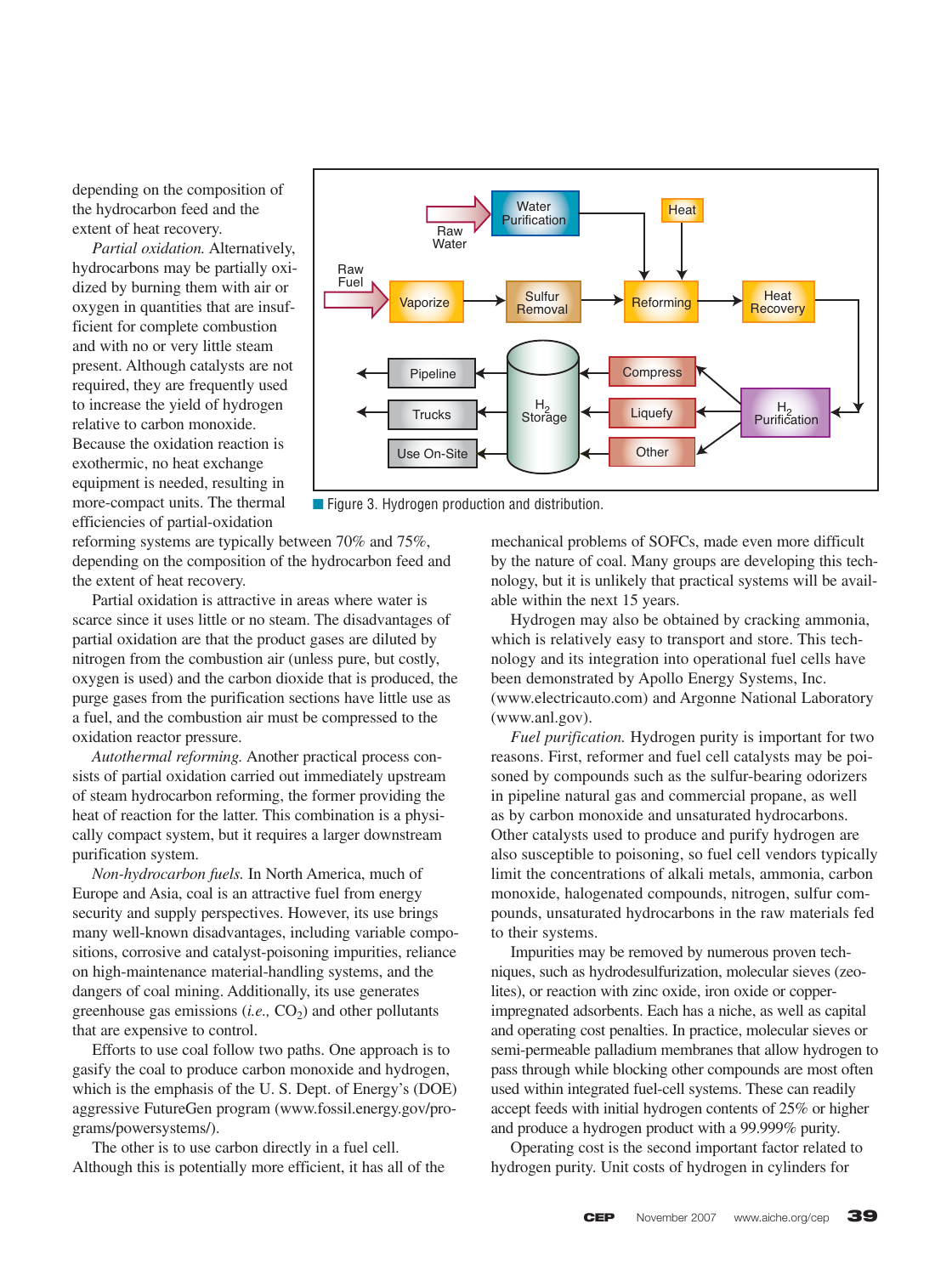depending on the composition of the hydrocarbon feed and the extent of heat recovery.

*Partial oxidation.* Alternatively, hydrocarbons may be partially oxidized by burning them with air or oxygen in quantities that are insufficient for complete combustion and with no or very little steam present. Although catalysts are not required, they are frequently used to increase the yield of hydrogen relative to carbon monoxide. Because the oxidation reaction is exothermic, no heat exchange equipment is needed, resulting in more-compact units. The thermal efficiencies of partial-oxidation



■ Figure 3. Hydrogen production and distribution.

reforming systems are typically between 70% and 75%, depending on the composition of the hydrocarbon feed and the extent of heat recovery.

Partial oxidation is attractive in areas where water is scarce since it uses little or no steam. The disadvantages of partial oxidation are that the product gases are diluted by nitrogen from the combustion air (unless pure, but costly, oxygen is used) and the carbon dioxide that is produced, the purge gases from the purification sections have little use as a fuel, and the combustion air must be compressed to the oxidation reactor pressure.

*Autothermal reforming.* Another practical process consists of partial oxidation carried out immediately upstream of steam hydrocarbon reforming, the former providing the heat of reaction for the latter. This combination is a physically compact system, but it requires a larger downstream purification system.

*Non-hydrocarbon fuels.* In North America, much of Europe and Asia, coal is an attractive fuel from energy security and supply perspectives. However, its use brings many well-known disadvantages, including variable compositions, corrosive and catalyst-poisoning impurities, reliance on high-maintenance material-handling systems, and the dangers of coal mining. Additionally, its use generates greenhouse gas emissions  $(i.e., CO<sub>2</sub>)$  and other pollutants that are expensive to control.

Efforts to use coal follow two paths. One approach is to gasify the coal to produce carbon monoxide and hydrogen, which is the emphasis of the U. S. Dept. of Energy's (DOE) aggressive FutureGen program (www.fossil.energy.gov/programs/powersystems/).

The other is to use carbon directly in a fuel cell. Although this is potentially more efficient, it has all of the mechanical problems of SOFCs, made even more difficult by the nature of coal. Many groups are developing this technology, but it is unlikely that practical systems will be available within the next 15 years.

Hydrogen may also be obtained by cracking ammonia, which is relatively easy to transport and store. This technology and its integration into operational fuel cells have been demonstrated by Apollo Energy Systems, Inc. (www.electricauto.com) and Argonne National Laboratory (www.anl.gov).

*Fuel purification.* Hydrogen purity is important for two reasons. First, reformer and fuel cell catalysts may be poisoned by compounds such as the sulfur-bearing odorizers in pipeline natural gas and commercial propane, as well as by carbon monoxide and unsaturated hydrocarbons. Other catalysts used to produce and purify hydrogen are also susceptible to poisoning, so fuel cell vendors typically limit the concentrations of alkali metals, ammonia, carbon monoxide, halogenated compounds, nitrogen, sulfur compounds, unsaturated hydrocarbons in the raw materials fed to their systems.

Impurities may be removed by numerous proven techniques, such as hydrodesulfurization, molecular sieves (zeolites), or reaction with zinc oxide, iron oxide or copperimpregnated adsorbents. Each has a niche, as well as capital and operating cost penalties. In practice, molecular sieves or semi-permeable palladium membranes that allow hydrogen to pass through while blocking other compounds are most often used within integrated fuel-cell systems. These can readily accept feeds with initial hydrogen contents of 25% or higher and produce a hydrogen product with a 99.999% purity.

Operating cost is the second important factor related to hydrogen purity. Unit costs of hydrogen in cylinders for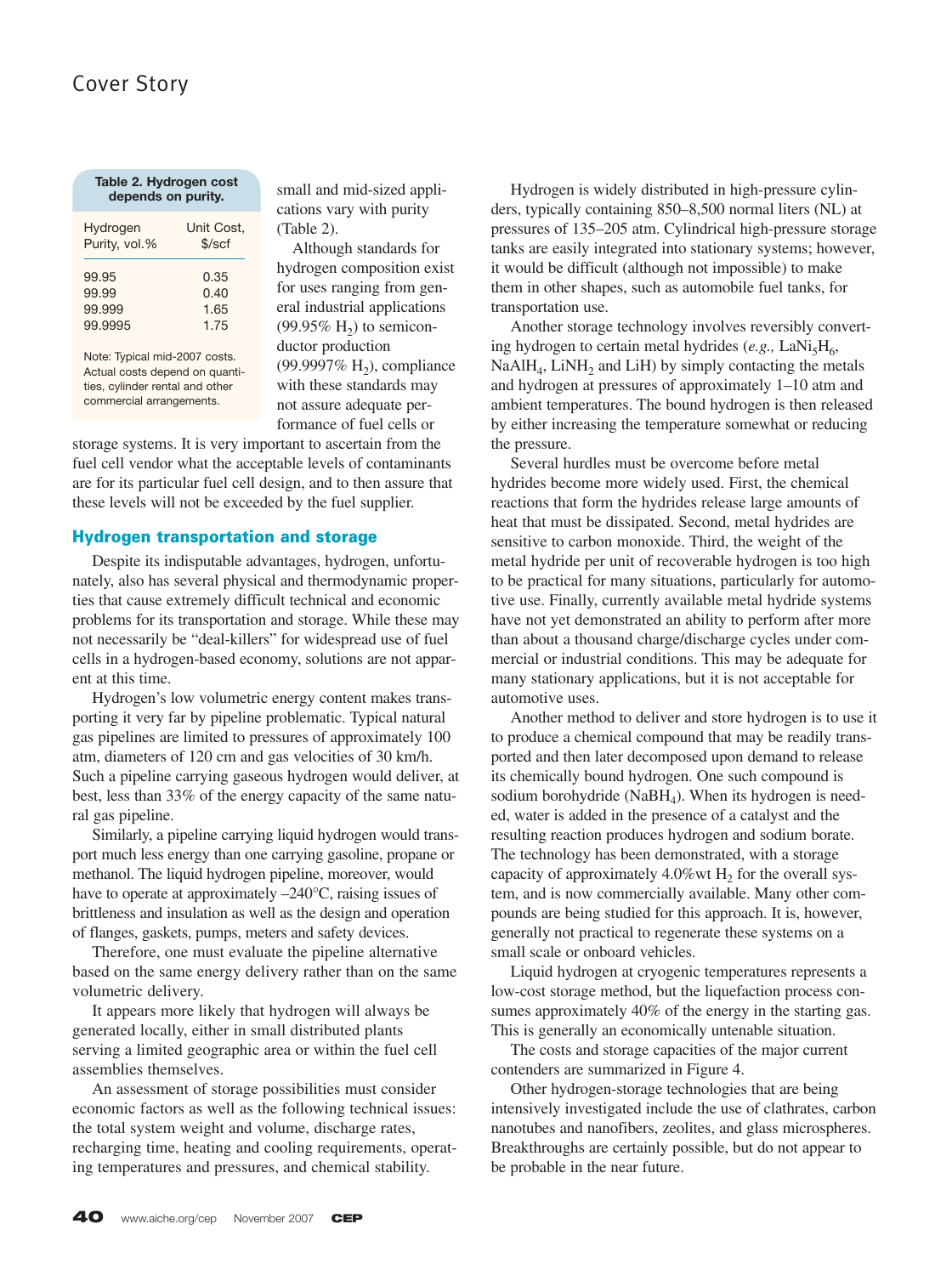### Cover Story

| Table 2. Hydrogen cost<br>depends on purity. |            |  |  |  |  |  |
|----------------------------------------------|------------|--|--|--|--|--|
| Hydrogen                                     | Unit Cost, |  |  |  |  |  |
| Purity, vol.%                                | \$/scf     |  |  |  |  |  |
| 99.95                                        | 0.35       |  |  |  |  |  |
| 99.99                                        | 0.40       |  |  |  |  |  |
| 99.999                                       | 1.65       |  |  |  |  |  |
| 99.9995                                      | 1.75       |  |  |  |  |  |

Note: Typical mid-2007 costs. Actual costs depend on quantities, cylinder rental and other commercial arrangements.

small and mid-sized applications vary with purity (Table 2).

Although standards for hydrogen composition exist for uses ranging from general industrial applications  $(99.95\% \text{ H}_2)$  to semiconductor production (99.9997% H<sub>2</sub>), compliance with these standards may not assure adequate performance of fuel cells or

storage systems. It is very important to ascertain from the fuel cell vendor what the acceptable levels of contaminants are for its particular fuel cell design, and to then assure that these levels will not be exceeded by the fuel supplier.

#### **Hydrogen transportation and storage**

Despite its indisputable advantages, hydrogen, unfortunately, also has several physical and thermodynamic properties that cause extremely difficult technical and economic problems for its transportation and storage. While these may not necessarily be "deal-killers" for widespread use of fuel cells in a hydrogen-based economy, solutions are not apparent at this time.

Hydrogen's low volumetric energy content makes transporting it very far by pipeline problematic. Typical natural gas pipelines are limited to pressures of approximately 100 atm, diameters of 120 cm and gas velocities of 30 km/h. Such a pipeline carrying gaseous hydrogen would deliver, at best, less than 33% of the energy capacity of the same natural gas pipeline.

Similarly, a pipeline carrying liquid hydrogen would transport much less energy than one carrying gasoline, propane or methanol. The liquid hydrogen pipeline, moreover, would have to operate at approximately  $-240^{\circ}$ C, raising issues of brittleness and insulation as well as the design and operation of flanges, gaskets, pumps, meters and safety devices.

Therefore, one must evaluate the pipeline alternative based on the same energy delivery rather than on the same volumetric delivery.

It appears more likely that hydrogen will always be generated locally, either in small distributed plants serving a limited geographic area or within the fuel cell assemblies themselves.

An assessment of storage possibilities must consider economic factors as well as the following technical issues: the total system weight and volume, discharge rates, recharging time, heating and cooling requirements, operating temperatures and pressures, and chemical stability.

Hydrogen is widely distributed in high-pressure cylinders, typically containing 850–8,500 normal liters (NL) at pressures of 135–205 atm. Cylindrical high-pressure storage tanks are easily integrated into stationary systems; however, it would be difficult (although not impossible) to make them in other shapes, such as automobile fuel tanks, for transportation use.

Another storage technology involves reversibly converting hydrogen to certain metal hydrides (e.g., LaNi<sub>5</sub>H<sub>6</sub>,  $NaAlH<sub>4</sub>$ , LiNH<sub>2</sub> and LiH) by simply contacting the metals and hydrogen at pressures of approximately 1–10 atm and ambient temperatures. The bound hydrogen is then released by either increasing the temperature somewhat or reducing the pressure.

Several hurdles must be overcome before metal hydrides become more widely used. First, the chemical reactions that form the hydrides release large amounts of heat that must be dissipated. Second, metal hydrides are sensitive to carbon monoxide. Third, the weight of the metal hydride per unit of recoverable hydrogen is too high to be practical for many situations, particularly for automotive use. Finally, currently available metal hydride systems have not yet demonstrated an ability to perform after more than about a thousand charge/discharge cycles under commercial or industrial conditions. This may be adequate for many stationary applications, but it is not acceptable for automotive uses.

Another method to deliver and store hydrogen is to use it to produce a chemical compound that may be readily transported and then later decomposed upon demand to release its chemically bound hydrogen. One such compound is sodium borohydride ( $N$ a $BH<sub>4</sub>$ ). When its hydrogen is needed, water is added in the presence of a catalyst and the resulting reaction produces hydrogen and sodium borate. The technology has been demonstrated, with a storage capacity of approximately 4.0%wt  $H_2$  for the overall system, and is now commercially available. Many other compounds are being studied for this approach. It is, however, generally not practical to regenerate these systems on a small scale or onboard vehicles.

Liquid hydrogen at cryogenic temperatures represents a low-cost storage method, but the liquefaction process consumes approximately 40% of the energy in the starting gas. This is generally an economically untenable situation.

The costs and storage capacities of the major current contenders are summarized in Figure 4.

Other hydrogen-storage technologies that are being intensively investigated include the use of clathrates, carbon nanotubes and nanofibers, zeolites, and glass microspheres. Breakthroughs are certainly possible, but do not appear to be probable in the near future.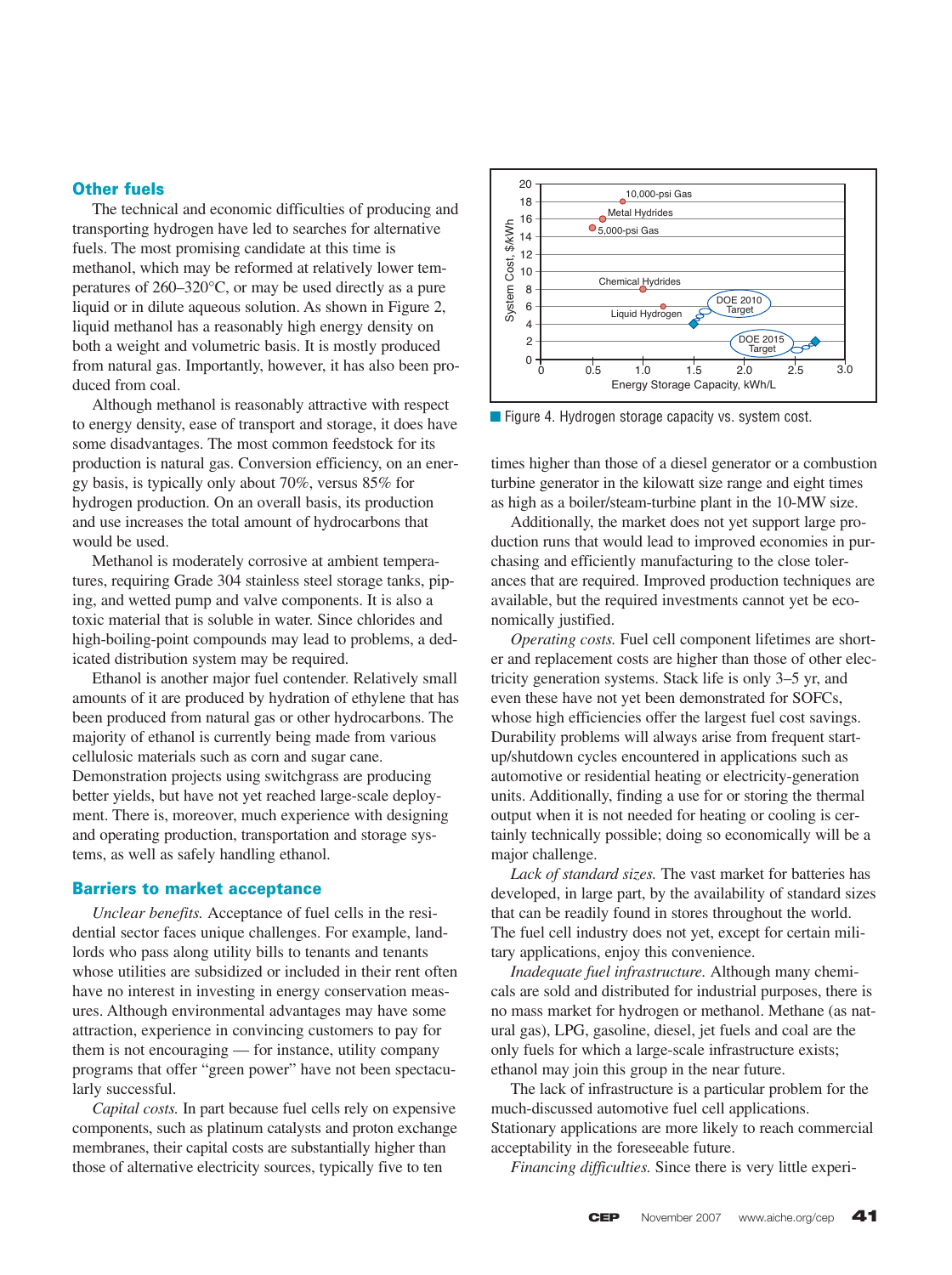#### **Other fuels**

The technical and economic difficulties of producing and transporting hydrogen have led to searches for alternative fuels. The most promising candidate at this time is methanol, which may be reformed at relatively lower temperatures of 260–320°C, or may be used directly as a pure liquid or in dilute aqueous solution. As shown in Figure 2, liquid methanol has a reasonably high energy density on both a weight and volumetric basis. It is mostly produced from natural gas. Importantly, however, it has also been produced from coal.

Although methanol is reasonably attractive with respect to energy density, ease of transport and storage, it does have some disadvantages. The most common feedstock for its production is natural gas. Conversion efficiency, on an energy basis, is typically only about 70%, versus 85% for hydrogen production. On an overall basis, its production and use increases the total amount of hydrocarbons that would be used.

Methanol is moderately corrosive at ambient temperatures, requiring Grade 304 stainless steel storage tanks, piping, and wetted pump and valve components. It is also a toxic material that is soluble in water. Since chlorides and high-boiling-point compounds may lead to problems, a dedicated distribution system may be required.

Ethanol is another major fuel contender. Relatively small amounts of it are produced by hydration of ethylene that has been produced from natural gas or other hydrocarbons. The majority of ethanol is currently being made from various cellulosic materials such as corn and sugar cane. Demonstration projects using switchgrass are producing better yields, but have not yet reached large-scale deployment. There is, moreover, much experience with designing and operating production, transportation and storage systems, as well as safely handling ethanol.

#### **Barriers to market acceptance**

*Unclear benefits.* Acceptance of fuel cells in the residential sector faces unique challenges. For example, landlords who pass along utility bills to tenants and tenants whose utilities are subsidized or included in their rent often have no interest in investing in energy conservation measures. Although environmental advantages may have some attraction, experience in convincing customers to pay for them is not encouraging — for instance, utility company programs that offer "green power" have not been spectacularly successful.

*Capital costs.* In part because fuel cells rely on expensive components, such as platinum catalysts and proton exchange membranes, their capital costs are substantially higher than those of alternative electricity sources, typically five to ten



■ Figure 4. Hydrogen storage capacity vs. system cost.

times higher than those of a diesel generator or a combustion turbine generator in the kilowatt size range and eight times as high as a boiler/steam-turbine plant in the 10-MW size.

Additionally, the market does not yet support large production runs that would lead to improved economies in purchasing and efficiently manufacturing to the close tolerances that are required. Improved production techniques are available, but the required investments cannot yet be economically justified.

*Operating costs.* Fuel cell component lifetimes are shorter and replacement costs are higher than those of other electricity generation systems. Stack life is only 3–5 yr, and even these have not yet been demonstrated for SOFCs, whose high efficiencies offer the largest fuel cost savings. Durability problems will always arise from frequent startup/shutdown cycles encountered in applications such as automotive or residential heating or electricity-generation units. Additionally, finding a use for or storing the thermal output when it is not needed for heating or cooling is certainly technically possible; doing so economically will be a major challenge.

*Lack of standard sizes.* The vast market for batteries has developed, in large part, by the availability of standard sizes that can be readily found in stores throughout the world. The fuel cell industry does not yet, except for certain military applications, enjoy this convenience.

*Inadequate fuel infrastructure.* Although many chemicals are sold and distributed for industrial purposes, there is no mass market for hydrogen or methanol. Methane (as natural gas), LPG, gasoline, diesel, jet fuels and coal are the only fuels for which a large-scale infrastructure exists; ethanol may join this group in the near future.

The lack of infrastructure is a particular problem for the much-discussed automotive fuel cell applications. Stationary applications are more likely to reach commercial acceptability in the foreseeable future.

*Financing difficulties.* Since there is very little experi-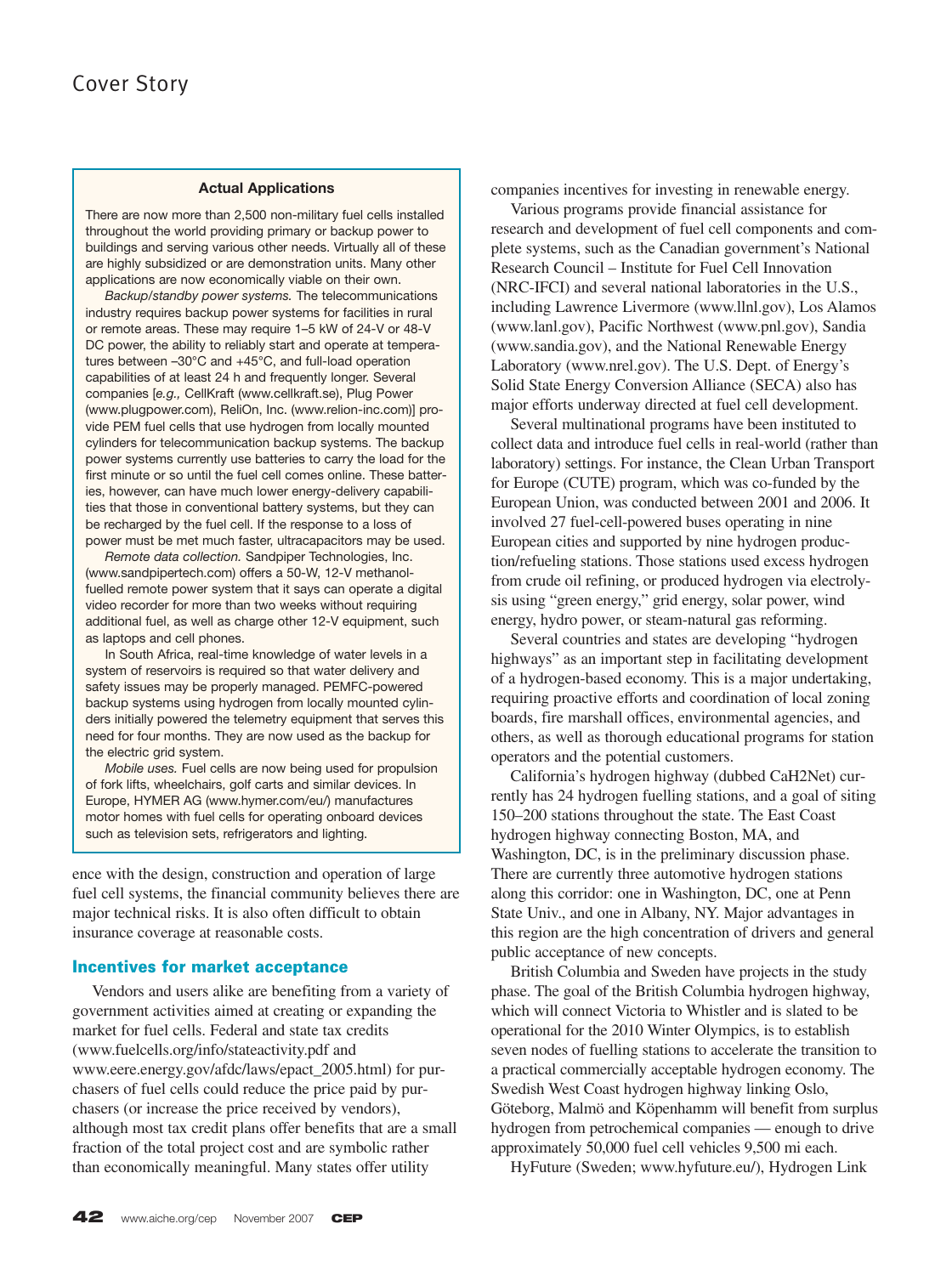#### **Actual Applications**

There are now more than 2,500 non-military fuel cells installed throughout the world providing primary or backup power to buildings and serving various other needs. Virtually all of these are highly subsidized or are demonstration units. Many other applications are now economically viable on their own.

*Backup/standby power systems.* The telecommunications industry requires backup power systems for facilities in rural or remote areas. These may require 1–5 kW of 24-V or 48-V DC power, the ability to reliably start and operate at temperatures between –30°C and +45°C, and full-load operation capabilities of at least 24 h and frequently longer. Several companies [*e.g.,* CellKraft (www.cellkraft.se), Plug Power (www.plugpower.com), ReliOn, Inc. (www.relion-inc.com)] provide PEM fuel cells that use hydrogen from locally mounted cylinders for telecommunication backup systems. The backup power systems currently use batteries to carry the load for the first minute or so until the fuel cell comes online. These batteries, however, can have much lower energy-delivery capabilities that those in conventional battery systems, but they can be recharged by the fuel cell. If the response to a loss of power must be met much faster, ultracapacitors may be used.

*Remote data collection.* Sandpiper Technologies, Inc. (www.sandpipertech.com) offers a 50-W, 12-V methanolfuelled remote power system that it says can operate a digital video recorder for more than two weeks without requiring additional fuel, as well as charge other 12-V equipment, such as laptops and cell phones.

In South Africa, real-time knowledge of water levels in a system of reservoirs is required so that water delivery and safety issues may be properly managed. PEMFC-powered backup systems using hydrogen from locally mounted cylinders initially powered the telemetry equipment that serves this need for four months. They are now used as the backup for the electric grid system.

*Mobile uses.* Fuel cells are now being used for propulsion of fork lifts, wheelchairs, golf carts and similar devices. In Europe, HYMER AG (www.hymer.com/eu/) manufactures motor homes with fuel cells for operating onboard devices such as television sets, refrigerators and lighting.

ence with the design, construction and operation of large fuel cell systems, the financial community believes there are major technical risks. It is also often difficult to obtain insurance coverage at reasonable costs.

#### **Incentives for market acceptance**

Vendors and users alike are benefiting from a variety of government activities aimed at creating or expanding the market for fuel cells. Federal and state tax credits (www.fuelcells.org/info/stateactivity.pdf and www.eere.energy.gov/afdc/laws/epact\_2005.html) for purchasers of fuel cells could reduce the price paid by purchasers (or increase the price received by vendors), although most tax credit plans offer benefits that are a small fraction of the total project cost and are symbolic rather than economically meaningful. Many states offer utility

companies incentives for investing in renewable energy.

Various programs provide financial assistance for research and development of fuel cell components and complete systems, such as the Canadian government's National Research Council – Institute for Fuel Cell Innovation (NRC-IFCI) and several national laboratories in the U.S., including Lawrence Livermore (www.llnl.gov), Los Alamos (www.lanl.gov), Pacific Northwest (www.pnl.gov), Sandia (www.sandia.gov), and the National Renewable Energy Laboratory (www.nrel.gov). The U.S. Dept. of Energy's Solid State Energy Conversion Alliance (SECA) also has major efforts underway directed at fuel cell development.

Several multinational programs have been instituted to collect data and introduce fuel cells in real-world (rather than laboratory) settings. For instance, the Clean Urban Transport for Europe (CUTE) program, which was co-funded by the European Union, was conducted between 2001 and 2006. It involved 27 fuel-cell-powered buses operating in nine European cities and supported by nine hydrogen production/refueling stations. Those stations used excess hydrogen from crude oil refining, or produced hydrogen via electrolysis using "green energy," grid energy, solar power, wind energy, hydro power, or steam-natural gas reforming.

Several countries and states are developing "hydrogen highways" as an important step in facilitating development of a hydrogen-based economy. This is a major undertaking, requiring proactive efforts and coordination of local zoning boards, fire marshall offices, environmental agencies, and others, as well as thorough educational programs for station operators and the potential customers.

California's hydrogen highway (dubbed CaH2Net) currently has 24 hydrogen fuelling stations, and a goal of siting 150–200 stations throughout the state. The East Coast hydrogen highway connecting Boston, MA, and Washington, DC, is in the preliminary discussion phase. There are currently three automotive hydrogen stations along this corridor: one in Washington, DC, one at Penn State Univ., and one in Albany, NY. Major advantages in this region are the high concentration of drivers and general public acceptance of new concepts.

British Columbia and Sweden have projects in the study phase. The goal of the British Columbia hydrogen highway, which will connect Victoria to Whistler and is slated to be operational for the 2010 Winter Olympics, is to establish seven nodes of fuelling stations to accelerate the transition to a practical commercially acceptable hydrogen economy. The Swedish West Coast hydrogen highway linking Oslo, Göteborg, Malmö and Köpenhamm will benefit from surplus hydrogen from petrochemical companies — enough to drive approximately 50,000 fuel cell vehicles 9,500 mi each.

HyFuture (Sweden; www.hyfuture.eu/), Hydrogen Link